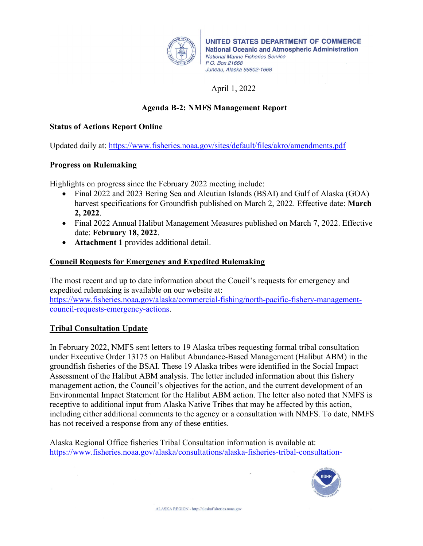

UNITED STATES DEPARTMENT OF COMMERCE **National Oceanic and Atmospheric Administration National Marine Fisheries Service** P.O. Box 21668 Juneau, Alaska 99802-1668

# April 1, 2022

## **Agenda B-2: NMFS Management Report**

#### **Status of Actions Report Online**

Updated daily at:<https://www.fisheries.noaa.gov/sites/default/files/akro/amendments.pdf>

## **Progress on Rulemaking**

Highlights on progress since the February 2022 meeting include:

- Final 2022 and 2023 Bering Sea and Aleutian Islands (BSAI) and Gulf of Alaska (GOA) harvest specifications for Groundfish published on March 2, 2022. Effective date: **March 2, 2022**.
- Final 2022 Annual Halibut Management Measures published on March 7, 2022. Effective date: **February 18, 2022**.
- **Attachment 1** provides additional detail.

## **Council Requests for Emergency and Expedited Rulemaking**

The most recent and up to date information about the Coucil's requests for emergency and expedited rulemaking is available on our website at: [https://www.fisheries.noaa.gov/alaska/commercial-fishing/north-pacific-fishery-management](https://www.fisheries.noaa.gov/alaska/commercial-fishing/north-pacific-fishery-management-council-requests-emergency-actions)[council-requests-emergency-actions.](https://www.fisheries.noaa.gov/alaska/commercial-fishing/north-pacific-fishery-management-council-requests-emergency-actions)

## **Tribal Consultation Update**

In February 2022, NMFS sent letters to 19 Alaska tribes requesting formal tribal consultation under Executive Order 13175 on Halibut Abundance-Based Management (Halibut ABM) in the groundfish fisheries of the BSAI. These 19 Alaska tribes were identified in the Social Impact Assessment of the Halibut ABM analysis. The letter included information about this fishery management action, the Council's objectives for the action, and the current development of an Environmental Impact Statement for the Halibut ABM action. The letter also noted that NMFS is receptive to additional input from Alaska Native Tribes that may be affected by this action, including either additional comments to the agency or a consultation with NMFS. To date, NMFS has not received a response from any of these entities.

Alaska Regional Office fisheries Tribal Consultation information is available at: [https://www.fisheries.noaa.gov/alaska/consultations/alaska-fisheries-tribal-consultation-](https://www.fisheries.noaa.gov/alaska/consultations/alaska-fisheries-tribal-consultation-documents-and-workgroup)

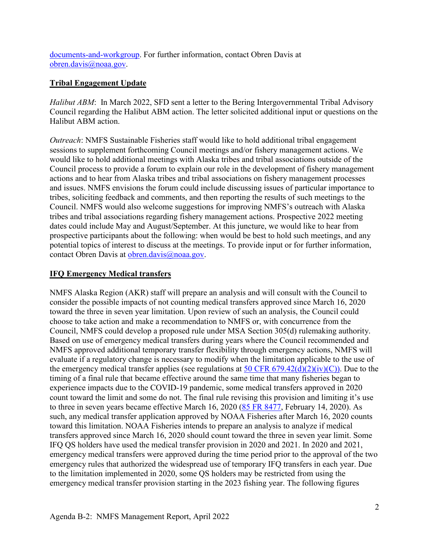[documents-and-workgroup.](https://www.fisheries.noaa.gov/alaska/consultations/alaska-fisheries-tribal-consultation-documents-and-workgroup) For further information, contact Obren Davis at [obren.davis@noaa.gov.](mailto:obren.davis@noaa.gov)

## **Tribal Engagement Update**

*Halibut ABM*: In March 2022, SFD sent a letter to the Bering Intergovernmental Tribal Advisory Council regarding the Halibut ABM action. The letter solicited additional input or questions on the Halibut ABM action.

*Outreach*: NMFS Sustainable Fisheries staff would like to hold additional tribal engagement sessions to supplement forthcoming Council meetings and/or fishery management actions. We would like to hold additional meetings with Alaska tribes and tribal associations outside of the Council process to provide a forum to explain our role in the development of fishery management actions and to hear from Alaska tribes and tribal associations on fishery management processes and issues. NMFS envisions the forum could include discussing issues of particular importance to tribes, soliciting feedback and comments, and then reporting the results of such meetings to the Council. NMFS would also welcome suggestions for improving NMFS's outreach with Alaska tribes and tribal associations regarding fishery management actions. Prospective 2022 meeting dates could include May and August/September. At this juncture, we would like to hear from prospective participants about the following: when would be best to hold such meetings, and any potential topics of interest to discuss at the meetings. To provide input or for further information, contact Obren Davis at [obren.davis@noaa.gov.](mailto:obren.davis@noaa.gov)

## **IFQ Emergency Medical transfers**

NMFS Alaska Region (AKR) staff will prepare an analysis and will consult with the Council to consider the possible impacts of not counting medical transfers approved since March 16, 2020 toward the three in seven year limitation. Upon review of such an analysis, the Council could choose to take action and make a recommendation to NMFS or, with concurrence from the Council, NMFS could develop a proposed rule under MSA Section 305(d) rulemaking authority. Based on use of emergency medical transfers during years where the Council recommended and NMFS approved additional temporary transfer flexibility through emergency actions, NMFS will evaluate if a regulatory change is necessary to modify when the limitation applicable to the use of the emergency medical transfer applies (see regulations at  $50 \text{ CFR } 679.42\text{(d)}(2)\text{(iv)}(C)$ ). Due to the timing of a final rule that became effective around the same time that many fisheries began to experience impacts due to the COVID-19 pandemic, some medical transfers approved in 2020 count toward the limit and some do not. The final rule revising this provision and limiting it's use to three in seven years became effective March 16, 2020 [\(85 FR 8477,](https://www.federalregister.gov/documents/2020/02/14/2020-02878/fisheries-of-the-exclusive-economic-zone-off-alaska-ifq-program-modify-medical-and-beneficiary) February 14, 2020). As such, any medical transfer application approved by NOAA Fisheries after March 16, 2020 counts toward this limitation. NOAA Fisheries intends to prepare an analysis to analyze if medical transfers approved since March 16, 2020 should count toward the three in seven year limit. Some IFQ QS holders have used the medical transfer provision in 2020 and 2021. In 2020 and 2021, emergency medical transfers were approved during the time period prior to the approval of the two emergency rules that authorized the widespread use of temporary IFQ transfers in each year. Due to the limitation implemented in 2020, some QS holders may be restricted from using the emergency medical transfer provision starting in the 2023 fishing year. The following figures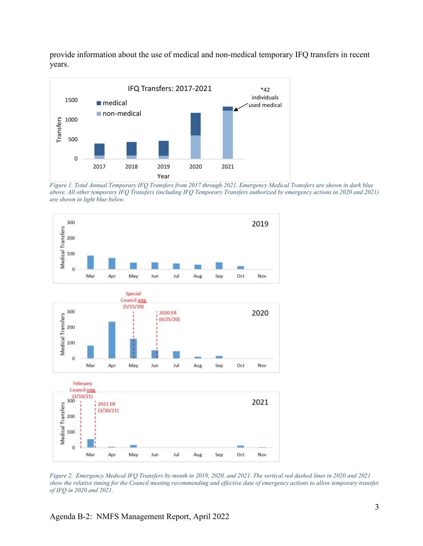provide information about the use of medical and non-medical temporary IFQ transfers in recent years.



*Figure 1. Total Annual Temporary IFQ Transfers from 2017 through 2021. Emergency Medical Transfers are shown in dark blue above. All other temporary IFQ Transfers (including IFQ Temporary Transfers authorized by emergency actions in 2020 and 2021) are shown in light blue below.* 



*Figure 2. Emergency Medical IFQ Transfers by month in 2019, 2020, and 2021. The vertical red dashed lines in 2020 and 2021 show the relative timing for the Council meeting recommending and effective date of emergency actions to allow temporary transfer of IFQ in 2020 and 2021.*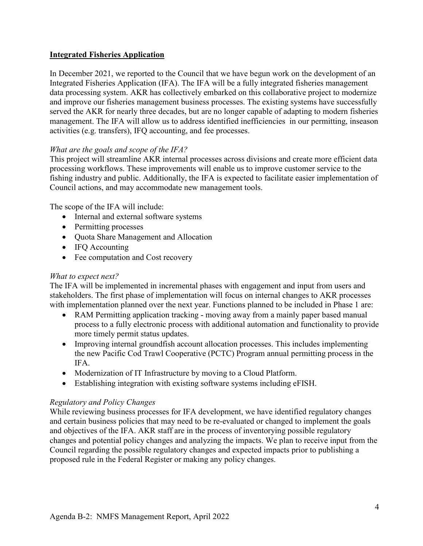## **Integrated Fisheries Application**

In December 2021, we reported to the Council that we have begun work on the development of an Integrated Fisheries Application (IFA). The IFA will be a fully integrated fisheries management data processing system. AKR has collectively embarked on this collaborative project to modernize and improve our fisheries management business processes. The existing systems have successfully served the AKR for nearly three decades, but are no longer capable of adapting to modern fisheries management. The IFA will allow us to address identified inefficiencies in our permitting, inseason activities (e.g. transfers), IFQ accounting, and fee processes.

## *What are the goals and scope of the IFA?*

This project will streamline AKR internal processes across divisions and create more efficient data processing workflows. These improvements will enable us to improve customer service to the fishing industry and public. Additionally, the IFA is expected to facilitate easier implementation of Council actions, and may accommodate new management tools.

The scope of the IFA will include:

- Internal and external software systems
- Permitting processes
- Quota Share Management and Allocation
- IFQ Accounting
- Fee computation and Cost recovery

## *What to expect next?*

The IFA will be implemented in incremental phases with engagement and input from users and stakeholders. The first phase of implementation will focus on internal changes to AKR processes with implementation planned over the next year. Functions planned to be included in Phase 1 are:

- RAM Permitting application tracking moving away from a mainly paper based manual process to a fully electronic process with additional automation and functionality to provide more timely permit status updates.
- Improving internal groundfish account allocation processes. This includes implementing the new Pacific Cod Trawl Cooperative (PCTC) Program annual permitting process in the IFA.
- Modernization of IT Infrastructure by moving to a Cloud Platform.
- Establishing integration with existing software systems including eFISH.

## *Regulatory and Policy Changes*

While reviewing business processes for IFA development, we have identified regulatory changes and certain business policies that may need to be re-evaluated or changed to implement the goals and objectives of the IFA. AKR staff are in the process of inventorying possible regulatory changes and potential policy changes and analyzing the impacts. We plan to receive input from the Council regarding the possible regulatory changes and expected impacts prior to publishing a proposed rule in the Federal Register or making any policy changes.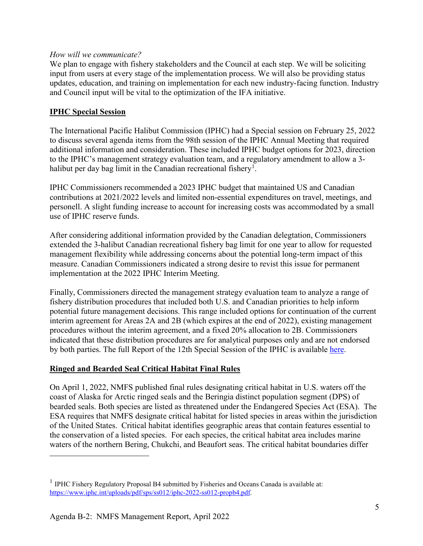#### *How will we communicate?*

We plan to engage with fishery stakeholders and the Council at each step. We will be soliciting input from users at every stage of the implementation process. We will also be providing status updates, education, and training on implementation for each new industry-facing function. Industry and Council input will be vital to the optimization of the IFA initiative.

#### **IPHC Special Session**

The International Pacific Halibut Commission (IPHC) had a Special session on February 25, 2022 to discuss several agenda items from the 98th session of the IPHC Annual Meeting that required additional information and consideration. These included IPHC budget options for 2023, direction to the IPHC's management strategy evaluation team, and a regulatory amendment to allow a 3- halibut per day bag limit in the Canadian recreational fishery<sup>[1](#page-4-0)</sup>.

IPHC Commissioners recommended a 2023 IPHC budget that maintained US and Canadian contributions at 2021/2022 levels and limited non-essential expenditures on travel, meetings, and personell. A slight funding increase to account for increasing costs was accommodated by a small use of IPHC reserve funds.

After considering additional information provided by the Canadian delegtation, Commissioners extended the 3-halibut Canadian recreational fishery bag limit for one year to allow for requested management flexibility while addressing concerns about the potential long-term impact of this measure. Canadian Commissioners indicated a strong desire to revist this issue for permanent implementation at the 2022 IPHC Interim Meeting.

Finally, Commissioners directed the management strategy evaluation team to analyze a range of fishery distribution procedures that included both U.S. and Canadian priorities to help inform potential future management decisions. This range included options for continuation of the current interim agreement for Areas 2A and 2B (which expires at the end of 2022), existing management procedures without the interim agreement, and a fixed 20% allocation to 2B. Commissioners indicated that these distribution procedures are for analytical purposes only and are not endorsed by both parties. The full Report of the 12th Special Session of the IPHC is available [here.](https://www.iphc.int/uploads/pdf/sps/ss012/iphc-2022-ss012-r.pdf)

## **Ringed and Bearded Seal Critical Habitat Final Rules**

On April 1, 2022, NMFS published final rules designating critical habitat in U.S. waters off the coast of Alaska for Arctic ringed seals and the Beringia distinct population segment (DPS) of bearded seals. Both species are listed as threatened under the Endangered Species Act (ESA). The ESA requires that NMFS designate critical habitat for listed species in areas within the jurisdiction of the United States. Critical habitat identifies geographic areas that contain features essential to the conservation of a listed species. For each species, the critical habitat area includes marine waters of the northern Bering, Chukchi, and Beaufort seas. The critical habitat boundaries differ

 $\overline{a}$ 

<span id="page-4-0"></span> $<sup>1</sup>$  IPHC Fishery Regulatory Proposal B4 submitted by Fisheries and Oceans Canada is available at:</sup> [https://www.iphc.int/uploads/pdf/sps/ss012/iphc-2022-ss012-propb4.pdf.](https://www.iphc.int/uploads/pdf/sps/ss012/iphc-2022-ss012-propb4.pdf)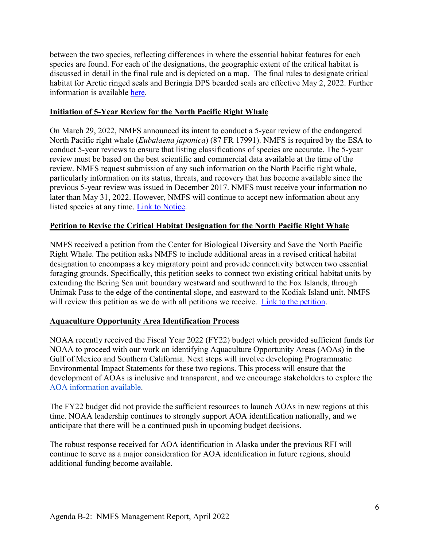between the two species, reflecting differences in where the essential habitat features for each species are found. For each of the designations, the geographic extent of the critical habitat is discussed in detail in the final rule and is depicted on a map. The final rules to designate critical habitat for Arctic ringed seals and Beringia DPS bearded seals are effective May 2, 2022. Further information is available [here.](https://www.fisheries.noaa.gov/feature-story/noaa-fisheries-designates-critical-habitat-ringed-and-bearded-seals-us-arctic?utm_medium=email&utm_source=govdelivery)

#### **Initiation of 5-Year Review for the North Pacific Right Whale**

On March 29, 2022, NMFS announced its intent to conduct a 5-year review of the endangered North Pacific right whale (*Eubalaena japonica*) (87 FR 17991). NMFS is required by the ESA to conduct 5-year reviews to ensure that listing classifications of species are accurate. The 5-year review must be based on the best scientific and commercial data available at the time of the review. NMFS request submission of any such information on the North Pacific right whale, particularly information on its status, threats, and recovery that has become available since the previous 5-year review was issued in December 2017. NMFS must receive your information no later than May 31, 2022. However, NMFS will continue to accept new information about any listed species at any time. [Link to Notice.](https://www.federalregister.gov/documents/2022/03/29/2022-06587/endangered-and-threatened-species-initiation-of-5-year-review-for-the-north-pacific-right-whale)

#### **Petition to Revise the Critical Habitat Designation for the North Pacific Right Whale**

NMFS received a petition from the Center for Biological Diversity and Save the North Pacific Right Whale. The petition asks NMFS to include additional areas in a revised critical habitat designation to encompass a key migratory point and provide connectivity between two essential foraging grounds. Specifically, this petition seeks to connect two existing critical habitat units by extending the Bering Sea unit boundary westward and southward to the Fox Islands, through Unimak Pass to the edge of the continental slope, and eastward to the Kodiak Island unit. NMFS will review this petition as we do with all petitions we receive. [Link to the petition.](https://www.biologicaldiversity.org/species/mammals/North_Pacific_right_whale/pdfs/Petition-to-Revise-Critical-Habitat--North-Pacific-Right-Whale.pdf)

## **Aquaculture Opportunity Area Identification Process**

NOAA recently received the Fiscal Year 2022 (FY22) budget which provided sufficient funds for NOAA to proceed with our work on identifying Aquaculture Opportunity Areas (AOAs) in the Gulf of Mexico and Southern California. Next steps will involve developing Programmatic Environmental Impact Statements for these two regions. This process will ensure that the development of AOAs is inclusive and transparent, and we encourage stakeholders to explore the [AOA information available.](https://www.fisheries.noaa.gov/national/aquaculture/aquaculture-opportunity-areas?utm_medium=email&utm_source=govdelivery)

The FY22 budget did not provide the sufficient resources to launch AOAs in new regions at this time. NOAA leadership continues to strongly support AOA identification nationally, and we anticipate that there will be a continued push in upcoming budget decisions.

The robust response received for AOA identification in Alaska under the previous RFI will continue to serve as a major consideration for AOA identification in future regions, should additional funding become available.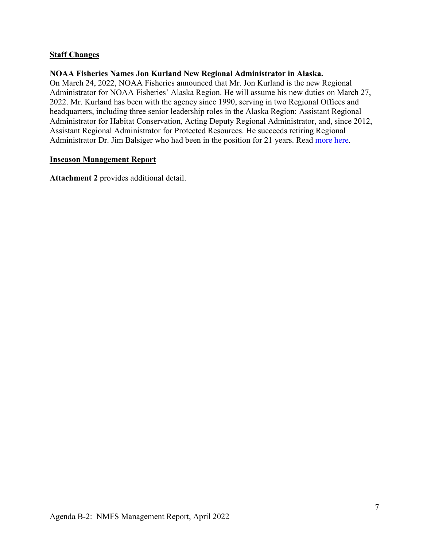#### **Staff Changes**

#### **NOAA Fisheries Names Jon Kurland New Regional Administrator in Alaska.**

On March 24, 2022, NOAA Fisheries announced that Mr. Jon Kurland is the new Regional Administrator for NOAA Fisheries' Alaska Region. He will assume his new duties on March 27, 2022. Mr. Kurland has been with the agency since 1990, serving in two Regional Offices and headquarters, including three senior leadership roles in the Alaska Region: Assistant Regional Administrator for Habitat Conservation, Acting Deputy Regional Administrator, and, since 2012, Assistant Regional Administrator for Protected Resources. He succeeds retiring Regional Administrator Dr. Jim Balsiger who had been in the position for 21 years. Read [more here.](https://www.fisheries.noaa.gov/feature-story/noaa-fisheries-names-jon-kurland-new-regional-administrator-alaska?utm_medium=email&utm_source=govdelivery)

#### **Inseason Management Report**

**Attachment 2** provides additional detail.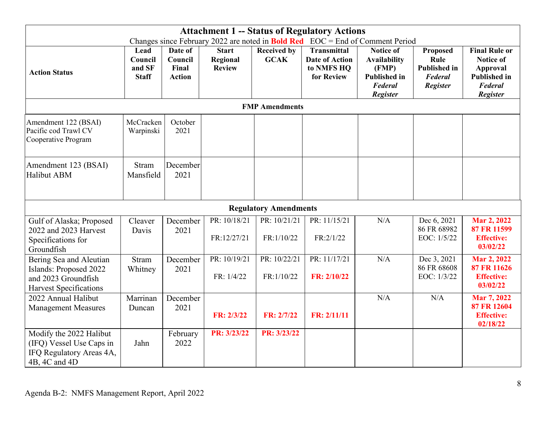|                                                                                                           | <b>Attachment 1 -- Status of Regulatory Actions</b> |                                              |                                           |                                   |                                                                         |                                                                                                       |                                                                       |                                                                                                           |
|-----------------------------------------------------------------------------------------------------------|-----------------------------------------------------|----------------------------------------------|-------------------------------------------|-----------------------------------|-------------------------------------------------------------------------|-------------------------------------------------------------------------------------------------------|-----------------------------------------------------------------------|-----------------------------------------------------------------------------------------------------------|
|                                                                                                           |                                                     |                                              |                                           |                                   |                                                                         | Changes since February 2022 are noted in Bold Red EOC = End of Comment Period                         |                                                                       |                                                                                                           |
| <b>Action Status</b>                                                                                      | Lead<br>Council<br>and SF<br><b>Staff</b>           | Date of<br>Council<br>Final<br><b>Action</b> | <b>Start</b><br>Regional<br><b>Review</b> | <b>Received by</b><br><b>GCAK</b> | <b>Transmittal</b><br><b>Date of Action</b><br>to NMFS HQ<br>for Review | <b>Notice of</b><br><b>Availability</b><br>(FMP)<br><b>Published in</b><br>Federal<br><b>Register</b> | Proposed<br>Rule<br><b>Published in</b><br>Federal<br><b>Register</b> | <b>Final Rule or</b><br><b>Notice of</b><br>Approval<br><b>Published in</b><br><b>Federal</b><br>Register |
|                                                                                                           |                                                     |                                              |                                           | <b>FMP</b> Amendments             |                                                                         |                                                                                                       |                                                                       |                                                                                                           |
| Amendment 122 (BSAI)<br>Pacific cod Trawl CV<br>Cooperative Program                                       | McCracken<br>Warpinski                              | October<br>2021                              |                                           |                                   |                                                                         |                                                                                                       |                                                                       |                                                                                                           |
| Amendment 123 (BSAI)<br>Halibut ABM                                                                       | <b>Stram</b><br>Mansfield                           | December<br>2021                             |                                           |                                   |                                                                         |                                                                                                       |                                                                       |                                                                                                           |
|                                                                                                           |                                                     |                                              |                                           | <b>Regulatory Amendments</b>      |                                                                         |                                                                                                       |                                                                       |                                                                                                           |
| Gulf of Alaska; Proposed<br>2022 and 2023 Harvest<br>Specifications for<br>Groundfish                     | Cleaver<br>Davis                                    | December<br>2021                             | PR: 10/18/21<br>FR:12/27/21               | PR: 10/21/21<br>FR:1/10/22        | PR: 11/15/21<br>FR:2/1/22                                               | N/A                                                                                                   | Dec 6, 2021<br>86 FR 68982<br>EOC: 1/5/22                             | Mar 2, 2022<br>87 FR 11599<br><b>Effective:</b><br>03/02/22                                               |
| Bering Sea and Aleutian<br>Islands: Proposed 2022<br>and 2023 Groundfish<br><b>Harvest Specifications</b> | <b>Stram</b><br>Whitney                             | December<br>2021                             | PR: 10/19/21<br>FR: 1/4/22                | PR: 10/22/21<br>FR:1/10/22        | PR: 11/17/21<br>FR: 2/10/22                                             | N/A                                                                                                   | Dec 3, 2021<br>86 FR 68608<br>EOC: 1/3/22                             | Mar 2, 2022<br>87 FR 11626<br><b>Effective:</b><br>03/02/22                                               |
| 2022 Annual Halibut<br><b>Management Measures</b>                                                         | Marrinan<br>Duncan                                  | December<br>2021                             | FR: 2/3/22                                | FR: 2/7/22                        | FR: 2/11/11                                                             | N/A                                                                                                   | N/A                                                                   | Mar 7, 2022<br>87 FR 12604<br><b>Effective:</b><br>02/18/22                                               |
| Modify the 2022 Halibut<br>(IFQ) Vessel Use Caps in<br>IFQ Regulatory Areas 4A,<br>4B, 4C and 4D          | Jahn                                                | February<br>2022                             | PR: 3/23/22                               | PR: 3/23/22                       |                                                                         |                                                                                                       |                                                                       |                                                                                                           |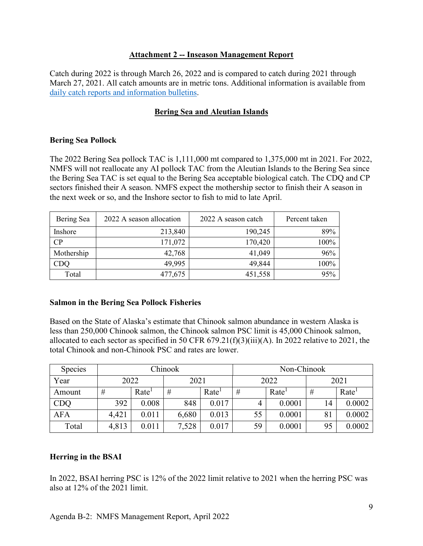#### **Attachment 2 -- Inseason Management Report**

Catch during 2022 is through March 26, 2022 and is compared to catch during 2021 through March 27, 2021. All catch amounts are in metric tons. Additional information is available from [daily catch reports and information bulletins.](https://www.fisheries.noaa.gov/alaska/sustainable-fisheries/alaska-groundfish-fisheries-management)

## **Bering Sea and Aleutian Islands**

#### **Bering Sea Pollock**

The 2022 Bering Sea pollock TAC is 1,111,000 mt compared to 1,375,000 mt in 2021. For 2022, NMFS will not reallocate any AI pollock TAC from the Aleutian Islands to the Bering Sea since the Bering Sea TAC is set equal to the Bering Sea acceptable biological catch. The CDQ and CP sectors finished their A season. NMFS expect the mothership sector to finish their A season in the next week or so, and the Inshore sector to fish to mid to late April.

| Bering Sea | 2022 A season allocation | 2022 A season catch | Percent taken |
|------------|--------------------------|---------------------|---------------|
| Inshore    | 213,840                  | 190,245             | 89%           |
| CP         | 171,072                  | 170,420             | 100%          |
| Mothership | 42,768                   | 41,049              | 96%           |
|            | 49,995                   | 49,844              | 100%          |
| Total      | 477,675                  | 451,558             | 95%           |

#### **Salmon in the Bering Sea Pollock Fisheries**

Based on the State of Alaska's estimate that Chinook salmon abundance in western Alaska is less than 250,000 Chinook salmon, the Chinook salmon PSC limit is 45,000 Chinook salmon, allocated to each sector as specified in 50 CFR  $679.21(f)(3)(iii)(A)$ . In 2022 relative to 2021, the total Chinook and non-Chinook PSC and rates are lower.

| <b>Species</b> | Chinook |                   |       |                   | Non-Chinook |                   |      |                   |
|----------------|---------|-------------------|-------|-------------------|-------------|-------------------|------|-------------------|
| Year           | 2022    |                   | 2021  |                   | 2022        |                   | 2021 |                   |
| Amount         | #       | Rate <sup>1</sup> | #     | Rate <sup>1</sup> | #           | Rate <sup>1</sup> | #    | Rate <sup>1</sup> |
| <b>CDQ</b>     | 392     | 0.008             | 848   | 0.017             | 4           | 0.0001            | 14   | 0.0002            |
| <b>AFA</b>     | 4,421   | 0.011             | 6,680 | 0.013             | 55          | 0.0001            | 81   | 0.0002            |
| Total          | 4,813   | 0.011             | 7,528 | 0.017             | 59          | 0.0001            | 95   | 0.0002            |

## **Herring in the BSAI**

In 2022, BSAI herring PSC is 12% of the 2022 limit relative to 2021 when the herring PSC was also at 12% of the 2021 limit.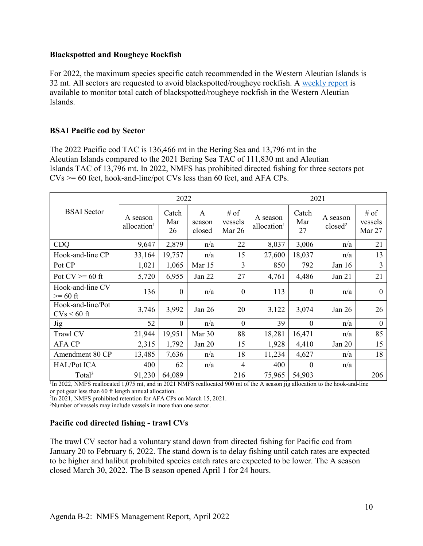#### **Blackspotted and Rougheye Rockfish**

For 2022, the maximum species specific catch recommended in the Western Aleutian Islands is 32 mt. All sectors are requested to avoid blackspotted/rougheye rockfish. A [weekly report](https://www.fisheries.noaa.gov/sites/default/files/akro/car112_rougheye_rockfish_catch2021.html) is available to monitor total catch of blackspotted/rougheye rockfish in the Western Aleutian Islands.

## **BSAI Pacific cod by Sector**

The 2022 Pacific cod TAC is 136,466 mt in the Bering Sea and 13,796 mt in the Aleutian Islands compared to the 2021 Bering Sea TAC of 111,830 mt and Aleutian Islands TAC of 13,796 mt. In 2022, NMFS has prohibited directed fishing for three sectors pot  $CVs$  >= 60 feet, hook-and-line/pot CVs less than 60 feet, and AFA CPs.

|                                    |                                     | 2022               |                       |                           | 2021                                |                    |                                 |                           |
|------------------------------------|-------------------------------------|--------------------|-----------------------|---------------------------|-------------------------------------|--------------------|---------------------------------|---------------------------|
| <b>BSAI</b> Sector                 | A season<br>allocation <sup>1</sup> | Catch<br>Mar<br>26 | A<br>season<br>closed | # of<br>vessels<br>Mar 26 | A season<br>allocation <sup>1</sup> | Catch<br>Mar<br>27 | A season<br>closed <sup>2</sup> | # of<br>vessels<br>Mar 27 |
| <b>CDQ</b>                         | 9,647                               | 2,879              | n/a                   | 22                        | 8,037                               | 3,006              | n/a                             | 21                        |
| Hook-and-line CP                   | 33,164                              | 19,757             | n/a                   | 15                        | 27,600                              | 18,037             | n/a                             | 13                        |
| Pot CP                             | 1,021                               | 1,065              | Mar 15                | 3                         | 850                                 | 792                | Jan $16$                        | 3                         |
| Pot $CV = 60$ ft                   | 5,720                               | 6,955              | Jan 22                | 27                        | 4,761                               | 4,486              | Jan $21$                        | 21                        |
| Hook-and-line CV<br>$>= 60$ ft     | 136                                 | $\theta$           | n/a                   | $\theta$                  | 113                                 | $\boldsymbol{0}$   | n/a                             | $\theta$                  |
| Hook-and-line/Pot<br>$CVs < 60$ ft | 3,746                               | 3,992              | Jan $26$              | 20                        | 3,122                               | 3,074              | Jan $26$                        | 26                        |
| <b>Jig</b>                         | 52                                  | $\Omega$           | n/a                   | $\Omega$                  | 39                                  | $\theta$           | n/a                             | $\overline{0}$            |
| Trawl CV                           | 21,944                              | 19,951             | Mar 30                | 88                        | 18,281                              | 16,471             | n/a                             | 85                        |
| <b>AFA CP</b>                      | 2,315                               | 1,792              | Jan 20                | 15                        | 1,928                               | 4,410              | Jan 20                          | 15                        |
| Amendment 80 CP                    | 13,485                              | 7,636              | n/a                   | 18                        | 11,234                              | 4,627              | n/a                             | 18                        |
| <b>HAL/Pot ICA</b>                 | 400                                 | 62                 | n/a                   | 4                         | 400                                 | $\boldsymbol{0}$   | n/a                             |                           |
| Total <sup>3</sup>                 | 91,230                              | 64,089             |                       | 216                       | 75,965                              | 54,903             |                                 | 206                       |

 $1\overline{1}$ In 2022, NMFS reallocated 1,075 mt, and in 2021 NMFS reallocated 900 mt of the A season jig allocation to the hook-and-line or pot gear less than 60 ft length annual allocation.

2In 2021, NMFS prohibited retention for AFA CPs on March 15, 2021.

<sup>3</sup>Number of vessels may include vessels in more than one sector.

#### **Pacific cod directed fishing - trawl CVs**

The trawl CV sector had a voluntary stand down from directed fishing for Pacific cod from January 20 to February 6, 2022. The stand down is to delay fishing until catch rates are expected to be higher and halibut prohibited species catch rates are expected to be lower. The A season closed March 30, 2022. The B season opened April 1 for 24 hours.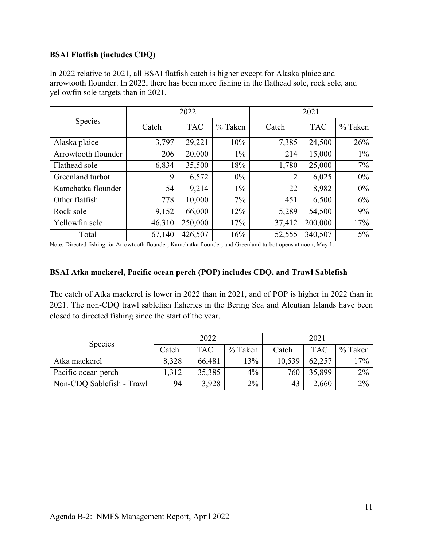## **BSAI Flatfish (includes CDQ)**

|                     |        | 2022       |           | 2021           |            |         |  |
|---------------------|--------|------------|-----------|----------------|------------|---------|--|
| Species             | Catch  | <b>TAC</b> | $%$ Taken | Catch          | <b>TAC</b> | % Taken |  |
| Alaska plaice       | 3,797  | 29,221     | 10%       | 7,385          | 24,500     | 26%     |  |
| Arrowtooth flounder | 206    | 20,000     | $1\%$     | 214            | 15,000     | $1\%$   |  |
| Flathead sole       | 6,834  | 35,500     | 18%       | 1,780          | 25,000     | 7%      |  |
| Greenland turbot    | 9      | 6,572      | $0\%$     | $\overline{2}$ | 6,025      | 0%      |  |
| Kamchatka flounder  | 54     | 9,214      | $1\%$     | 22             | 8,982      | $0\%$   |  |
| Other flatfish      | 778    | 10,000     | $7\%$     | 451            | 6,500      | 6%      |  |
| Rock sole           | 9,152  | 66,000     | 12%       | 5,289          | 54,500     | 9%      |  |
| Yellowfin sole      | 46,310 | 250,000    | 17%       | 37,412         | 200,000    | 17%     |  |
| Total               | 67,140 | 426,507    | 16%       | 52,555         | 340,507    | 15%     |  |

In 2022 relative to 2021, all BSAI flatfish catch is higher except for Alaska plaice and arrowtooth flounder. In 2022, there has been more fishing in the flathead sole, rock sole, and yellowfin sole targets than in 2021.

Note: Directed fishing for Arrowtooth flounder, Kamchatka flounder, and Greenland turbot opens at noon, May 1.

#### **BSAI Atka mackerel, Pacific ocean perch (POP) includes CDQ, and Trawl Sablefish**

The catch of Atka mackerel is lower in 2022 than in 2021, and of POP is higher in 2022 than in 2021. The non-CDQ trawl sablefish fisheries in the Bering Sea and Aleutian Islands have been closed to directed fishing since the start of the year.

| <b>Species</b>            |       | 2022       |         | 2021   |            |         |
|---------------------------|-------|------------|---------|--------|------------|---------|
|                           | Catch | <b>TAC</b> | % Taken | Catch  | <b>TAC</b> | % Taken |
| Atka mackerel             | 8,328 | 66,481     | 13%     | 10,539 | 62,257     | 17%     |
| Pacific ocean perch       | 1,312 | 35,385     | 4%      | 760    | 35,899     | 2%      |
| Non-CDQ Sablefish - Trawl | 94    | 3,928      | $2\%$   | 43     | 2,660      | $2\%$   |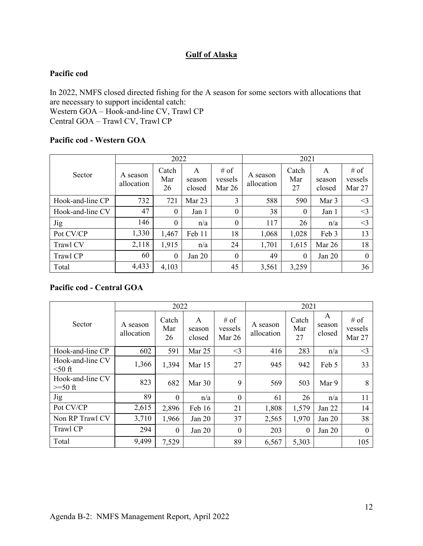## **Gulf of Alaska**

#### **Pacific cod**

In 2022, NMFS closed directed fishing for the A season for some sectors with allocations that are necessary to support incidental catch: Western GOA – Hook-and-line CV, Trawl CP Central GOA – Trawl CV, Trawl CP

#### **Pacific cod - Western GOA**

|                  |                        | 2022               |                       |                           |                        | 2021               |                       |                           |  |
|------------------|------------------------|--------------------|-----------------------|---------------------------|------------------------|--------------------|-----------------------|---------------------------|--|
| Sector           | A season<br>allocation | Catch<br>Mar<br>26 | A<br>season<br>closed | # of<br>vessels<br>Mar 26 | A season<br>allocation | Catch<br>Mar<br>27 | A<br>season<br>closed | # of<br>vessels<br>Mar 27 |  |
| Hook-and-line CP | 732                    | 721                | Mar 23                | 3                         | 588                    | 590                | Mar 3                 | $\leq$ 3                  |  |
| Hook-and-line CV | 47                     | $\theta$           | Jan 1                 | $\theta$                  | 38                     | 0                  | Jan 1                 | $\leq$ 3                  |  |
| <b>Jig</b>       | 146                    | $\theta$           | n/a                   | $\theta$                  | 117                    | 26                 | n/a                   | $\leq$ 3                  |  |
| Pot CV/CP        | 1,330                  | 1,467              | Feb 11                | 18                        | 1,068                  | 1,028              | Feb 3                 | 13                        |  |
| Trawl CV         | 2,118                  | 1,915              | n/a                   | 24                        | 1,701                  | 1,615              | Mar 26                | 18                        |  |
| Trawl CP         | 60                     | $\theta$           | Jan 20                | $\overline{0}$            | 49                     | $\theta$           | Jan $20$              | $\Omega$                  |  |
| Total            | 4,433                  | 4,103              |                       | 45                        | 3,561                  | 3,259              |                       | 36                        |  |

#### **Pacific cod - Central GOA**

|                               |                        | 2022               |                       |                           |                        | 2021               |                       |                           |
|-------------------------------|------------------------|--------------------|-----------------------|---------------------------|------------------------|--------------------|-----------------------|---------------------------|
| Sector                        | A season<br>allocation | Catch<br>Mar<br>26 | A<br>season<br>closed | # of<br>vessels<br>Mar 26 | A season<br>allocation | Catch<br>Mar<br>27 | A<br>season<br>closed | # of<br>vessels<br>Mar 27 |
| Hook-and-line CP              | 602                    | 591                | Mar 25                | $<$ 3                     | 416                    | 283                | n/a                   | $<$ 3                     |
| Hook-and-line CV<br>$50$ ft   | 1,366                  | 1,394              | Mar 15                | 27                        | 945                    | 942                | Feb 5                 | 33                        |
| Hook-and-line CV<br>$>=50$ ft | 823                    | 682                | Mar 30                | 9                         | 569                    | 503                | Mar 9                 | 8                         |
| <b>Jig</b>                    | 89                     | $\theta$           | n/a                   | $\theta$                  | 61                     | 26                 | n/a                   | 11                        |
| Pot CV/CP                     | 2,615                  | 2,896              | Feb 16                | 21                        | 1,808                  | 1,579              | Jan 22                | 14                        |
| Non RP Trawl CV               | 3,710                  | 1,966              | Jan 20                | 37                        | 2,565                  | 1,970              | Jan 20                | 38                        |
| Trawl CP                      | 294                    | $\theta$           | Jan 20                | $\theta$                  | 203                    | $\theta$           | Jan $20$              | $\Omega$                  |
| Total                         | 9,499                  | 7,529              |                       | 89                        | 6,567                  | 5,303              |                       | 105                       |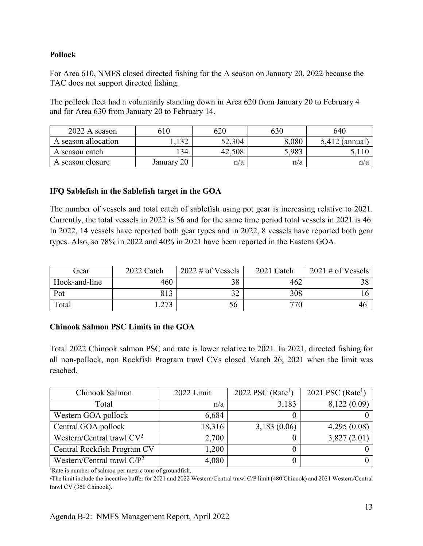### **Pollock**

For Area 610, NMFS closed directed fishing for the A season on January 20, 2022 because the TAC does not support directed fishing.

The pollock fleet had a voluntarily standing down in Area 620 from January 20 to February 4 and for Area 630 from January 20 to February 14.

| 2022 A season       | 610                 | 620         | 630   | 640              |
|---------------------|---------------------|-------------|-------|------------------|
| A season allocation | ຳາ<br>1,1 <i>JL</i> | 0.2,304     | 8,080 | $5,412$ (annual) |
| A season catch      | 134                 | .508<br>42. | 5,983 |                  |
| A season closure    | January 20          | n/a         | n/a   | n/a              |

## **IFQ Sablefish in the Sablefish target in the GOA**

The number of vessels and total catch of sablefish using pot gear is increasing relative to 2021. Currently, the total vessels in 2022 is 56 and for the same time period total vessels in 2021 is 46. In 2022, 14 vessels have reported both gear types and in 2022, 8 vessels have reported both gear types. Also, so 78% in 2022 and 40% in 2021 have been reported in the Eastern GOA.

| Gear          | 2022 Catch   | $2022 \text{ } \#$ of Vessels | 2021 Catch      | $2021 \text{ } \#$ of Vessels |
|---------------|--------------|-------------------------------|-----------------|-------------------------------|
| Hook-and-line | 460          |                               | 462             |                               |
| Pot           | 813          | $\sim$                        | 308             |                               |
| Total         | 272<br>ر ر∠, | 56                            | 77 <sup>′</sup> | 40                            |

#### **Chinook Salmon PSC Limits in the GOA**

Total 2022 Chinook salmon PSC and rate is lower relative to 2021. In 2021, directed fishing for all non-pollock, non Rockfish Program trawl CVs closed March 26, 2021 when the limit was reached.

| Chinook Salmon                | 2022 Limit | 2022 PSC ( $Rate1$ ) | 2021 PSC ( $Rate1$ ) |
|-------------------------------|------------|----------------------|----------------------|
| Total                         | n/a        | 3,183                | 8,122 (0.09)         |
| Western GOA pollock           | 6,684      |                      |                      |
| Central GOA pollock           | 18,316     | 3,183(0.06)          | 4,295(0.08)          |
| Western/Central trawl $CV^2$  | 2,700      |                      | 3,827(2.01)          |
| Central Rockfish Program CV   | 1,200      |                      |                      |
| Western/Central trawl $C/P^2$ | 4,080      |                      |                      |

1Rate is number of salmon per metric tons of groundfish.

2The limit include the incentive buffer for 2021 and 2022 Western/Central trawl C/P limit (480 Chinook) and 2021 Western/Central trawl CV (360 Chinook).